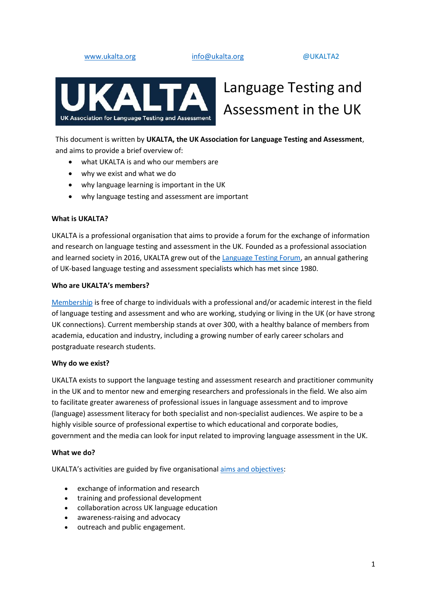[www.ukalta.org](http://www.ukalta.org/) [info@ukalta.org](mailto:info@ukalta.org) @UKALTA2



# Language Testing and Assessment in the UK

This document is written by **UKALTA, the UK Association for Language Testing and Assessment**, and aims to provide a brief overview of:

- what UKALTA is and who our members are
- why we exist and what we do
- why language learning is important in the UK
- why language testing and assessment are important

#### **What is UKALTA?**

UKALTA is a professional organisation that aims to provide a forum for the exchange of information and research on language testing and assessment in the UK. Founded as a professional association and learned society in 2016, UKALTA grew out of the [Language Testing Forum,](https://ukalta.org/history-of-ltf/) an annual gathering of UK-based language testing and assessment specialists which has met since 1980.

#### **Who are UKALTA's members?**

[Membership](https://ukalta.org/join-ukalta/) is free of charge to individuals with a professional and/or academic interest in the field of language testing and assessment and who are working, studying or living in the UK (or have strong UK connections). Current membership stands at over 300, with a healthy balance of members from academia, education and industry, including a growing number of early career scholars and postgraduate research students.

### **Why do we exist?**

UKALTA exists to support the language testing and assessment research and practitioner community in the UK and to mentor new and emerging researchers and professionals in the field. We also aim to facilitate greater awareness of professional issues in language assessment and to improve (language) assessment literacy for both specialist and non-specialist audiences. We aspire to be a highly visible source of professional expertise to which educational and corporate bodies, government and the media can look for input related to improving language assessment in the UK.

### **What we do?**

UKALTA's activities are guided by five organisational [aims and objectives:](https://ukalta.org/about/)

- exchange of information and research
- training and professional development
- collaboration across UK language education
- awareness-raising and advocacy
- outreach and public engagement.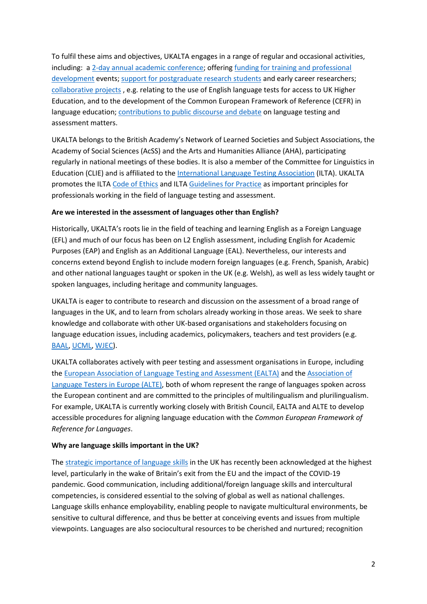To fulfil these aims and objectives, UKALTA engages in a range of regular and occasional activities, including: a [2-day annual academic conference;](https://ukalta.org/language-testing-forum/) offering [funding for training and professional](https://ukalta.org/events/)  [development](https://ukalta.org/events/) events; [support for postgraduate research students](https://ukalta.org/events/) and early career researchers; [collaborative](https://ukalta.org/events/) projects , e.g. relating to the use of English language tests for access to UK Higher Education, and to the development of the Common European Framework of Reference (CEFR) in language education; [contributions to public discourse and debate](https://campaignforsocialscience.org.uk/news/a-testing-time-for-testing-assessment-literacy-as-a-force-for-social-good-in-the-time-of-coronavirus/) on language testing and assessment matters.

UKALTA belongs to the British Academy's Network of Learned Societies and Subject Associations, the Academy of Social Sciences (AcSS) and the Arts and Humanities Alliance (AHA), participating regularly in national meetings of these bodies. It is also a member of the Committee for Linguistics in Education (CLIE) and is affiliated to the [International Language Testing Association](https://www.iltaonline.com/) (ILTA). UKALTA promotes the ILTA [Code of Ethics](https://www.iltaonline.com/page/CodeofEthics) and ILTA [Guidelines for Practice](https://www.iltaonline.com/page/ILTAGuidelinesforPractice) as important principles for professionals working in the field of language testing and assessment.

# **Are we interested in the assessment of languages other than English?**

Historically, UKALTA's roots lie in the field of teaching and learning English as a Foreign Language (EFL) and much of our focus has been on L2 English assessment, including English for Academic Purposes (EAP) and English as an Additional Language (EAL). Nevertheless, our interests and concerns extend beyond English to include modern foreign languages (e.g. French, Spanish, Arabic) and other national languages taught or spoken in the UK (e.g. Welsh), as well as less widely taught or spoken languages, including heritage and community languages.

UKALTA is eager to contribute to research and discussion on the assessment of a broad range of languages in the UK, and to learn from scholars already working in those areas. We seek to share knowledge and collaborate with other UK-based organisations and stakeholders focusing on language education issues, including academics, policymakers, teachers and test providers (e.g. [BAAL,](https://www.baal.org.uk/) [UCML,](https://university-council-modern-languages.org/) [WJEC\)](https://www.wjec.co.uk/).

UKALTA collaborates actively with peer testing and assessment organisations in Europe, including th[e European Association of Language Testing and Assessment \(EALTA\)](http://www.ealta.eu.org/) and th[e Association of](https://alte.org/)  [Language Testers in Europe \(ALTE\),](https://alte.org/) both of whom represent the range of languages spoken across the European continent and are committed to the principles of multilingualism and plurilingualism. For example, UKALTA is currently working closely with British Council, EALTA and ALTE to develop accessible procedures for aligning language education with the *Common European Framework of Reference for Languages*.

# **Why are language skills important in the UK?**

The [strategic importance of language skills](https://www.thebritishacademy.ac.uk/publications/the-importance-of-languages-in-global-context-an-international-call-to-action/) in the UK has recently been acknowledged at the highest level, particularly in the wake of Britain's exit from the EU and the impact of the COVID-19 pandemic. Good communication, including additional/foreign language skills and intercultural competencies, is considered essential to the solving of global as well as national challenges. Language skills enhance employability, enabling people to navigate multicultural environments, be sensitive to cultural difference, and thus be better at conceiving events and issues from multiple viewpoints. Languages are also sociocultural resources to be cherished and nurtured; recognition